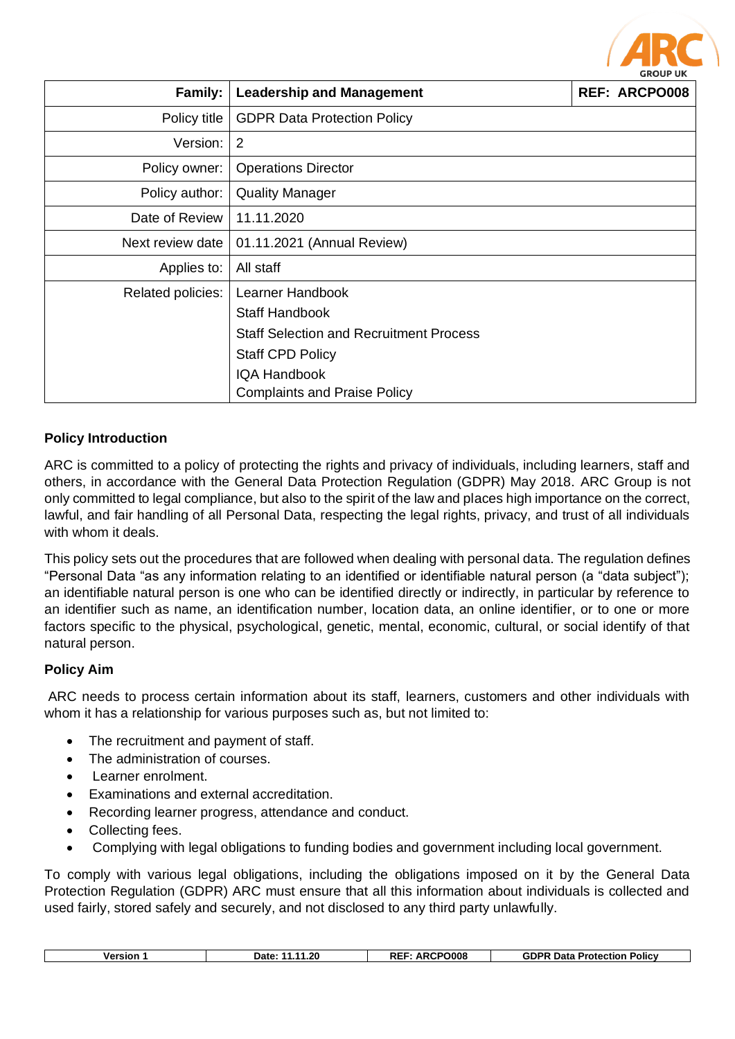

| <b>Family:</b>    | <b>Leadership and Management</b><br><b>REF: ARCPO008</b> |  |  |
|-------------------|----------------------------------------------------------|--|--|
| Policy title      | <b>GDPR Data Protection Policy</b>                       |  |  |
| Version:          | $\overline{2}$                                           |  |  |
| Policy owner:     | <b>Operations Director</b>                               |  |  |
| Policy author:    | <b>Quality Manager</b>                                   |  |  |
| Date of Review    | 11.11.2020                                               |  |  |
| Next review date  | 01.11.2021 (Annual Review)                               |  |  |
| Applies to:       | All staff                                                |  |  |
| Related policies: | Learner Handbook                                         |  |  |
|                   | <b>Staff Handbook</b>                                    |  |  |
|                   | <b>Staff Selection and Recruitment Process</b>           |  |  |
|                   | <b>Staff CPD Policy</b>                                  |  |  |
|                   | <b>IQA Handbook</b>                                      |  |  |
|                   | <b>Complaints and Praise Policy</b>                      |  |  |

# **Policy Introduction**

ARC is committed to a policy of protecting the rights and privacy of individuals, including learners, staff and others, in accordance with the General Data Protection Regulation (GDPR) May 2018. ARC Group is not only committed to legal compliance, but also to the spirit of the law and places high importance on the correct, lawful, and fair handling of all Personal Data, respecting the legal rights, privacy, and trust of all individuals with whom it deals.

This policy sets out the procedures that are followed when dealing with personal data. The regulation defines "Personal Data "as any information relating to an identified or identifiable natural person (a "data subject"); an identifiable natural person is one who can be identified directly or indirectly, in particular by reference to an identifier such as name, an identification number, location data, an online identifier, or to one or more factors specific to the physical, psychological, genetic, mental, economic, cultural, or social identify of that natural person.

### **Policy Aim**

ARC needs to process certain information about its staff, learners, customers and other individuals with whom it has a relationship for various purposes such as, but not limited to:

- The recruitment and payment of staff.
- The administration of courses.
- Learner enrolment.
- Examinations and external accreditation.
- Recording learner progress, attendance and conduct.
- Collecting fees.
- Complying with legal obligations to funding bodies and government including local government.

To comply with various legal obligations, including the obligations imposed on it by the General Data Protection Regulation (GDPR) ARC must ensure that all this information about individuals is collected and used fairly, stored safely and securely, and not disclosed to any third party unlawfully.

| Version | $\dots$ 1.20<br>Date:<br>. . | <b>RCPO008</b><br>DEI<br>л. | <b>GDPF</b><br>Data<br>Protection<br>Policy |
|---------|------------------------------|-----------------------------|---------------------------------------------|
|         |                              |                             |                                             |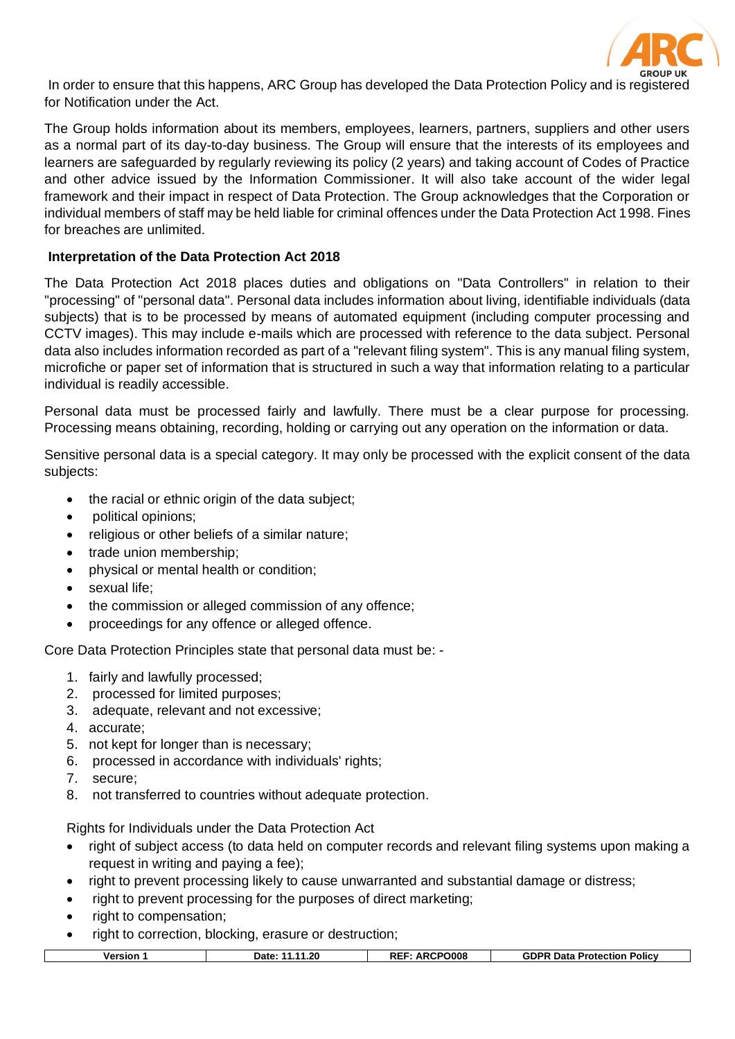

In order to ensure that this happens, ARC Group has developed the Data Protection Policy and is registered for Notification under the Act.

The Group holds information about its members, employees, learners, partners, suppliers and other users as a normal part of its day-to-day business. The Group will ensure that the interests of its employees and learners are safeguarded by regularly reviewing its policy (2 years) and taking account of Codes of Practice and other advice issued by the Information Commissioner. It will also take account of the wider legal framework and their impact in respect of Data Protection. The Group acknowledges that the Corporation or individual members of staff may be held liable for criminal offences under the Data Protection Act 1998. Fines for breaches are unlimited.

## **Interpretation of the Data Protection Act 2018**

The Data Protection Act 2018 places duties and obligations on "Data Controllers" in relation to their "processing" of "personal data". Personal data includes information about living, identifiable individuals (data subjects) that is to be processed by means of automated equipment (including computer processing and CCTV images). This may include e-mails which are processed with reference to the data subject. Personal data also includes information recorded as part of a "relevant filing system". This is any manual filing system, microfiche or paper set of information that is structured in such a way that information relating to a particular individual is readily accessible.

Personal data must be processed fairly and lawfully. There must be a clear purpose for processing. Processing means obtaining, recording, holding or carrying out any operation on the information or data.

Sensitive personal data is a special category. It may only be processed with the explicit consent of the data subjects:

- the racial or ethnic origin of the data subject;
- political opinions;
- religious or other beliefs of a similar nature;
- trade union membership;
- physical or mental health or condition;
- sexual life:
- the commission or alleged commission of any offence;
- proceedings for any offence or alleged offence.

Core Data Protection Principles state that personal data must be: -

- 1. fairly and lawfully processed;
- 2. processed for limited purposes;
- 3. adequate, relevant and not excessive;
- 4. accurate;
- 5. not kept for longer than is necessary;
- 6. processed in accordance with individuals' rights;
- 7. secure;
- 8. not transferred to countries without adequate protection.

Rights for Individuals under the Data Protection Act

- right of subject access (to data held on computer records and relevant filing systems upon making a request in writing and paying a fee);
- right to prevent processing likely to cause unwarranted and substantial damage or distress;
- right to prevent processing for the purposes of direct marketing;
- right to compensation;
- right to correction, blocking, erasure or destruction;

| <b>ARCPO008</b><br>.11.20<br><b>REI</b><br><b>GDPR</b><br>Data<br><b>Policy</b><br>Date:<br><b>Protection</b><br>Version<br>Αĸ |
|--------------------------------------------------------------------------------------------------------------------------------|
|--------------------------------------------------------------------------------------------------------------------------------|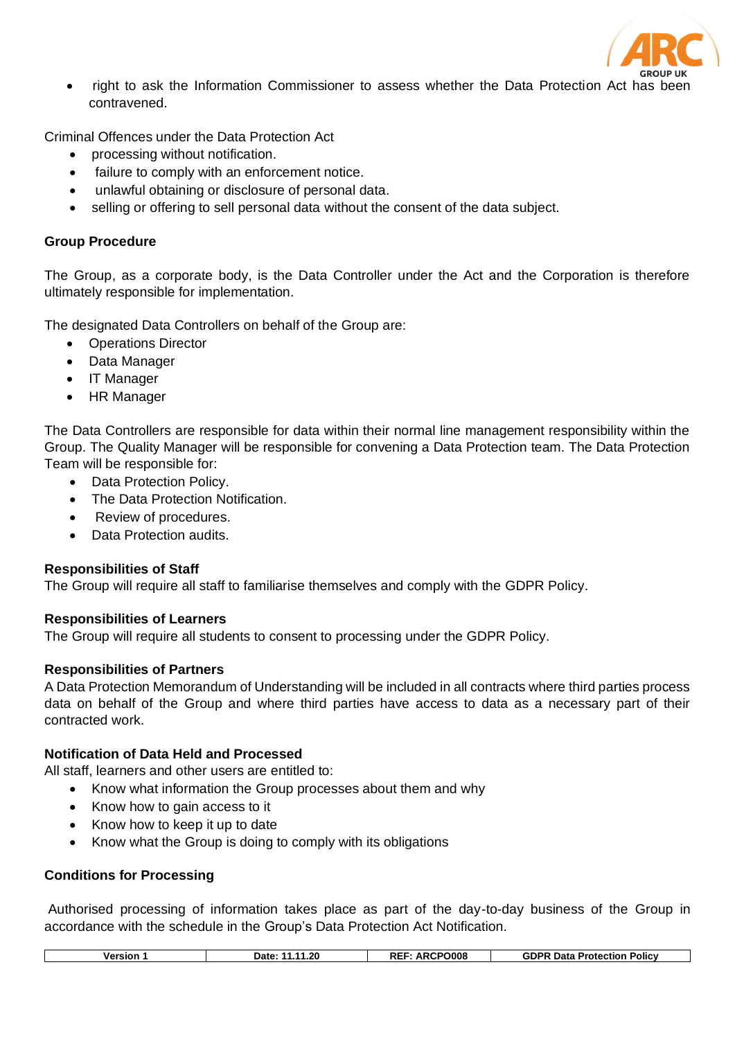

• right to ask the Information Commissioner to assess whether the Data Protection Act has been contravened.

Criminal Offences under the Data Protection Act

- processing without notification.
- failure to comply with an enforcement notice.
- unlawful obtaining or disclosure of personal data.
- selling or offering to sell personal data without the consent of the data subject.

#### **Group Procedure**

The Group, as a corporate body, is the Data Controller under the Act and the Corporation is therefore ultimately responsible for implementation.

The designated Data Controllers on behalf of the Group are:

- Operations Director
- Data Manager
- IT Manager
- HR Manager

The Data Controllers are responsible for data within their normal line management responsibility within the Group. The Quality Manager will be responsible for convening a Data Protection team. The Data Protection Team will be responsible for:

- Data Protection Policy.
- The Data Protection Notification.
- Review of procedures.
- Data Protection audits.

### **Responsibilities of Staff**

The Group will require all staff to familiarise themselves and comply with the GDPR Policy.

### **Responsibilities of Learners**

The Group will require all students to consent to processing under the GDPR Policy.

### **Responsibilities of Partners**

A Data Protection Memorandum of Understanding will be included in all contracts where third parties process data on behalf of the Group and where third parties have access to data as a necessary part of their contracted work.

### **Notification of Data Held and Processed**

All staff, learners and other users are entitled to:

- Know what information the Group processes about them and why
- Know how to gain access to it
- Know how to keep it up to date
- Know what the Group is doing to comply with its obligations

### **Conditions for Processing**

Authorised processing of information takes place as part of the day-to-day business of the Group in accordance with the schedule in the Group's Data Protection Act Notification.

|  | <b>Version</b> | .1.20<br>- 11<br>Date: | ARCPO008<br><b>RE</b> | <b>GDPR Data</b><br><b>Policy</b><br>Protection |
|--|----------------|------------------------|-----------------------|-------------------------------------------------|
|--|----------------|------------------------|-----------------------|-------------------------------------------------|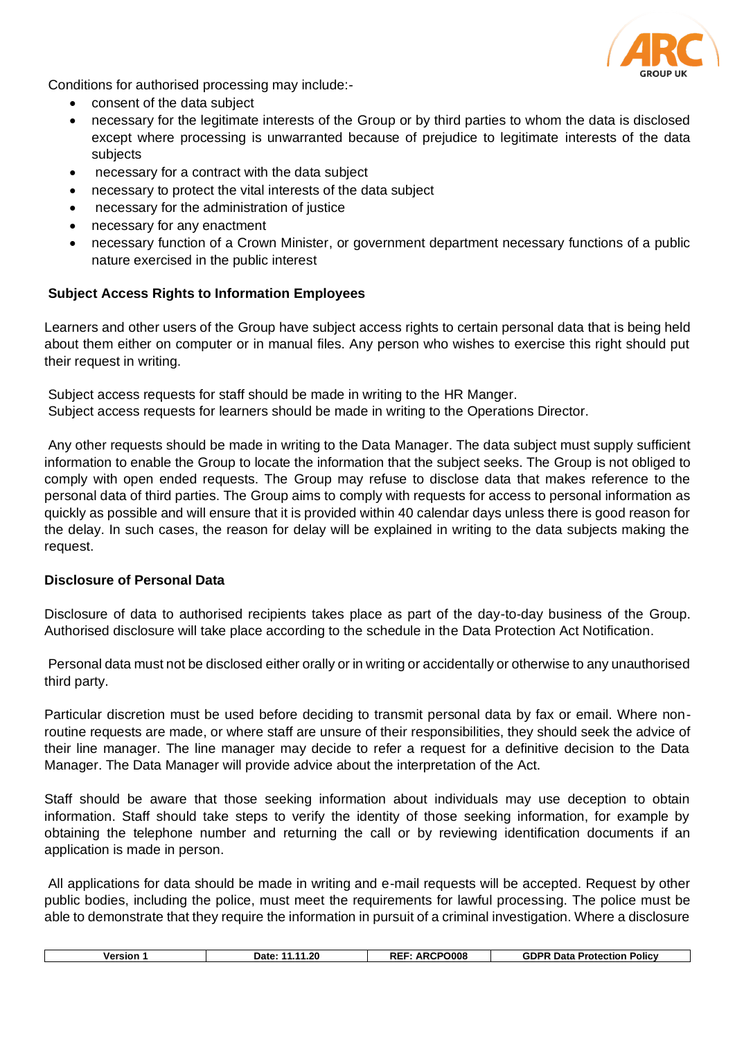

Conditions for authorised processing may include:-

- consent of the data subject
- necessary for the legitimate interests of the Group or by third parties to whom the data is disclosed except where processing is unwarranted because of prejudice to legitimate interests of the data subjects
- necessary for a contract with the data subject
- necessary to protect the vital interests of the data subject
- necessary for the administration of justice
- necessary for any enactment
- necessary function of a Crown Minister, or government department necessary functions of a public nature exercised in the public interest

### **Subject Access Rights to Information Employees**

Learners and other users of the Group have subject access rights to certain personal data that is being held about them either on computer or in manual files. Any person who wishes to exercise this right should put their request in writing.

Subject access requests for staff should be made in writing to the HR Manger. Subject access requests for learners should be made in writing to the Operations Director.

Any other requests should be made in writing to the Data Manager. The data subject must supply sufficient information to enable the Group to locate the information that the subject seeks. The Group is not obliged to comply with open ended requests. The Group may refuse to disclose data that makes reference to the personal data of third parties. The Group aims to comply with requests for access to personal information as quickly as possible and will ensure that it is provided within 40 calendar days unless there is good reason for the delay. In such cases, the reason for delay will be explained in writing to the data subjects making the request.

### **Disclosure of Personal Data**

Disclosure of data to authorised recipients takes place as part of the day-to-day business of the Group. Authorised disclosure will take place according to the schedule in the Data Protection Act Notification.

Personal data must not be disclosed either orally or in writing or accidentally or otherwise to any unauthorised third party.

Particular discretion must be used before deciding to transmit personal data by fax or email. Where nonroutine requests are made, or where staff are unsure of their responsibilities, they should seek the advice of their line manager. The line manager may decide to refer a request for a definitive decision to the Data Manager. The Data Manager will provide advice about the interpretation of the Act.

Staff should be aware that those seeking information about individuals may use deception to obtain information. Staff should take steps to verify the identity of those seeking information, for example by obtaining the telephone number and returning the call or by reviewing identification documents if an application is made in person.

All applications for data should be made in writing and e-mail requests will be accepted. Request by other public bodies, including the police, must meet the requirements for lawful processing. The police must be able to demonstrate that they require the information in pursuit of a criminal investigation. Where a disclosure

| O008<br>DІ<br>. .20<br>⊶on¤<br>Data<br>Policy<br>versior<br><b>Protection</b><br>Date: |  |  |
|----------------------------------------------------------------------------------------|--|--|
|                                                                                        |  |  |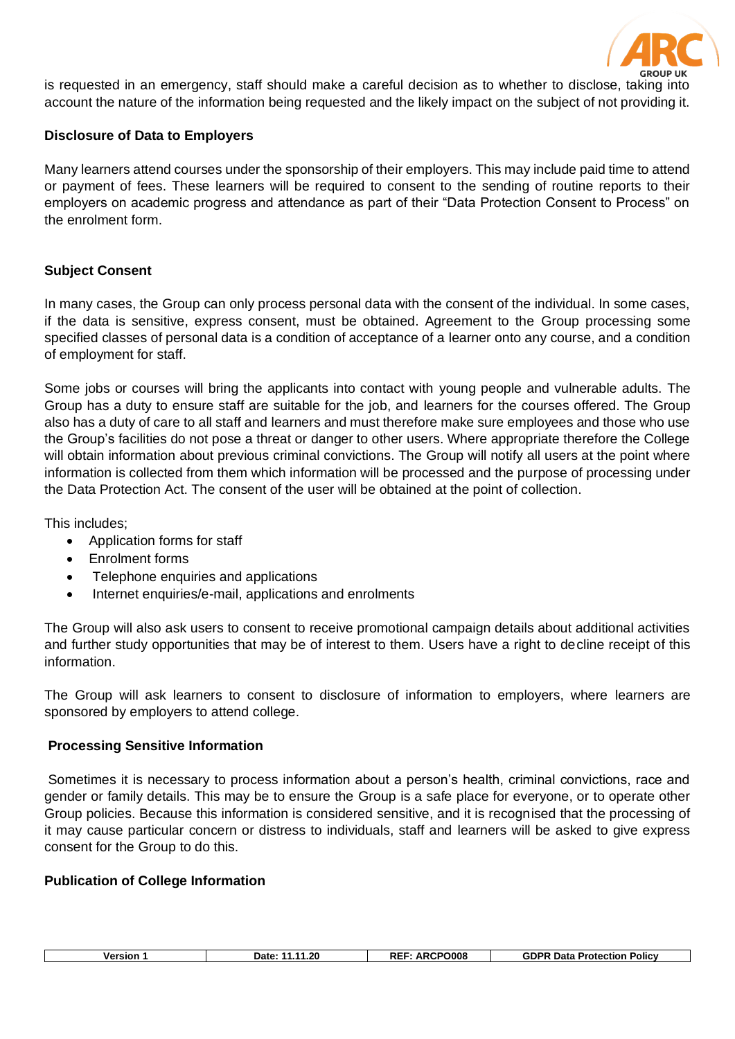

is requested in an emergency, staff should make a careful decision as to whether to disclose, taking into account the nature of the information being requested and the likely impact on the subject of not providing it.

### **Disclosure of Data to Employers**

Many learners attend courses under the sponsorship of their employers. This may include paid time to attend or payment of fees. These learners will be required to consent to the sending of routine reports to their employers on academic progress and attendance as part of their "Data Protection Consent to Process" on the enrolment form.

# **Subject Consent**

In many cases, the Group can only process personal data with the consent of the individual. In some cases, if the data is sensitive, express consent, must be obtained. Agreement to the Group processing some specified classes of personal data is a condition of acceptance of a learner onto any course, and a condition of employment for staff.

Some jobs or courses will bring the applicants into contact with young people and vulnerable adults. The Group has a duty to ensure staff are suitable for the job, and learners for the courses offered. The Group also has a duty of care to all staff and learners and must therefore make sure employees and those who use the Group's facilities do not pose a threat or danger to other users. Where appropriate therefore the College will obtain information about previous criminal convictions. The Group will notify all users at the point where information is collected from them which information will be processed and the purpose of processing under the Data Protection Act. The consent of the user will be obtained at the point of collection.

This includes;

- Application forms for staff
- Enrolment forms
- Telephone enquiries and applications
- Internet enquiries/e-mail, applications and enrolments

The Group will also ask users to consent to receive promotional campaign details about additional activities and further study opportunities that may be of interest to them. Users have a right to decline receipt of this information.

The Group will ask learners to consent to disclosure of information to employers, where learners are sponsored by employers to attend college.

### **Processing Sensitive Information**

Sometimes it is necessary to process information about a person's health, criminal convictions, race and gender or family details. This may be to ensure the Group is a safe place for everyone, or to operate other Group policies. Because this information is considered sensitive, and it is recognised that the processing of it may cause particular concern or distress to individuals, staff and learners will be asked to give express consent for the Group to do this.

### **Publication of College Information**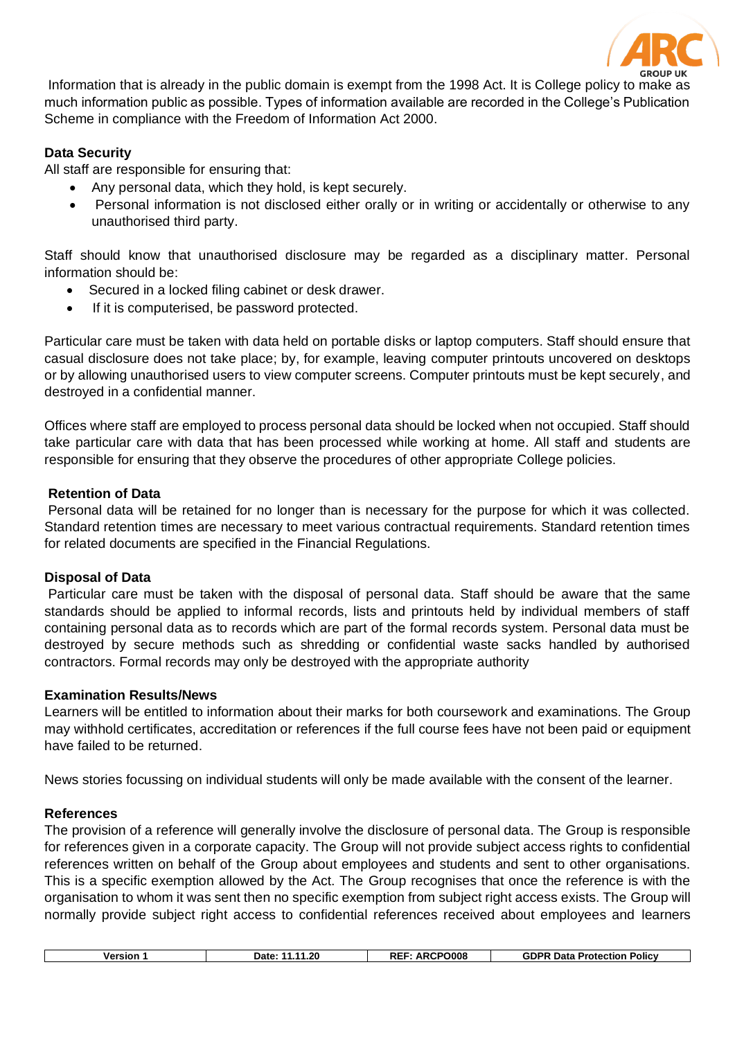

Information that is already in the public domain is exempt from the 1998 Act. It is College policy to make as much information public as possible. Types of information available are recorded in the College's Publication Scheme in compliance with the Freedom of Information Act 2000.

## **Data Security**

All staff are responsible for ensuring that:

- Any personal data, which they hold, is kept securely.
- Personal information is not disclosed either orally or in writing or accidentally or otherwise to any unauthorised third party.

Staff should know that unauthorised disclosure may be regarded as a disciplinary matter. Personal information should be:

- Secured in a locked filing cabinet or desk drawer.
- If it is computerised, be password protected.

Particular care must be taken with data held on portable disks or laptop computers. Staff should ensure that casual disclosure does not take place; by, for example, leaving computer printouts uncovered on desktops or by allowing unauthorised users to view computer screens. Computer printouts must be kept securely, and destroyed in a confidential manner.

Offices where staff are employed to process personal data should be locked when not occupied. Staff should take particular care with data that has been processed while working at home. All staff and students are responsible for ensuring that they observe the procedures of other appropriate College policies.

### **Retention of Data**

Personal data will be retained for no longer than is necessary for the purpose for which it was collected. Standard retention times are necessary to meet various contractual requirements. Standard retention times for related documents are specified in the Financial Regulations.

### **Disposal of Data**

Particular care must be taken with the disposal of personal data. Staff should be aware that the same standards should be applied to informal records, lists and printouts held by individual members of staff containing personal data as to records which are part of the formal records system. Personal data must be destroyed by secure methods such as shredding or confidential waste sacks handled by authorised contractors. Formal records may only be destroyed with the appropriate authority

### **Examination Results/News**

Learners will be entitled to information about their marks for both coursework and examinations. The Group may withhold certificates, accreditation or references if the full course fees have not been paid or equipment have failed to be returned.

News stories focussing on individual students will only be made available with the consent of the learner.

### **References**

The provision of a reference will generally involve the disclosure of personal data. The Group is responsible for references given in a corporate capacity. The Group will not provide subject access rights to confidential references written on behalf of the Group about employees and students and sent to other organisations. This is a specific exemption allowed by the Act. The Group recognises that once the reference is with the organisation to whom it was sent then no specific exemption from subject right access exists. The Group will normally provide subject right access to confidential references received about employees and learners

| Versior | 1.20<br>Date:<br>. . | RCPO008<br>RE<br>ΔR | $\cdot$ .<br><b>GDPF</b><br>Data<br>Policy<br><b>Protection</b> |
|---------|----------------------|---------------------|-----------------------------------------------------------------|
|         |                      |                     |                                                                 |